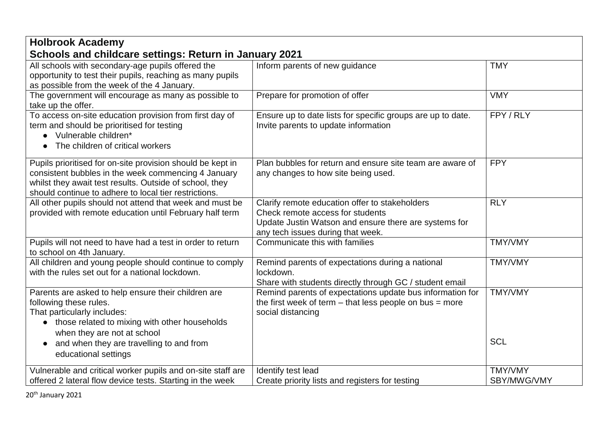| <b>Holbrook Academy</b>                                                                                                                                                                                                               |                                                                                                                                                                                  |                               |  |
|---------------------------------------------------------------------------------------------------------------------------------------------------------------------------------------------------------------------------------------|----------------------------------------------------------------------------------------------------------------------------------------------------------------------------------|-------------------------------|--|
| Schools and childcare settings: Return in January 2021                                                                                                                                                                                |                                                                                                                                                                                  |                               |  |
| All schools with secondary-age pupils offered the<br>opportunity to test their pupils, reaching as many pupils<br>as possible from the week of the 4 January.                                                                         | Inform parents of new guidance                                                                                                                                                   | <b>TMY</b>                    |  |
| The government will encourage as many as possible to<br>take up the offer.                                                                                                                                                            | Prepare for promotion of offer                                                                                                                                                   | <b>VMY</b>                    |  |
| To access on-site education provision from first day of<br>term and should be prioritised for testing<br>Vulnerable children*<br>The children of critical workers<br>$\bullet$                                                        | Ensure up to date lists for specific groups are up to date.<br>Invite parents to update information                                                                              | FPY / RLY                     |  |
| Pupils prioritised for on-site provision should be kept in<br>consistent bubbles in the week commencing 4 January<br>whilst they await test results. Outside of school, they<br>should continue to adhere to local tier restrictions. | Plan bubbles for return and ensure site team are aware of<br>any changes to how site being used.                                                                                 | <b>FPY</b>                    |  |
| All other pupils should not attend that week and must be<br>provided with remote education until February half term                                                                                                                   | Clarify remote education offer to stakeholders<br>Check remote access for students<br>Update Justin Watson and ensure there are systems for<br>any tech issues during that week. | <b>RLY</b>                    |  |
| Pupils will not need to have had a test in order to return<br>to school on 4th January.                                                                                                                                               | Communicate this with families                                                                                                                                                   | <b>TMY/VMY</b>                |  |
| All children and young people should continue to comply<br>with the rules set out for a national lockdown.                                                                                                                            | Remind parents of expectations during a national<br>lockdown.<br>Share with students directly through GC / student email                                                         | <b>TMY/VMY</b>                |  |
| Parents are asked to help ensure their children are<br>following these rules.<br>That particularly includes:<br>• those related to mixing with other households<br>when they are not at school                                        | Remind parents of expectations update bus information for<br>the first week of term $-$ that less people on bus $=$ more<br>social distancing                                    | <b>TMY/VMY</b>                |  |
| and when they are travelling to and from<br>$\bullet$<br>educational settings                                                                                                                                                         |                                                                                                                                                                                  | <b>SCL</b>                    |  |
| Vulnerable and critical worker pupils and on-site staff are<br>offered 2 lateral flow device tests. Starting in the week                                                                                                              | Identify test lead<br>Create priority lists and registers for testing                                                                                                            | <b>TMY/VMY</b><br>SBY/MWG/VMY |  |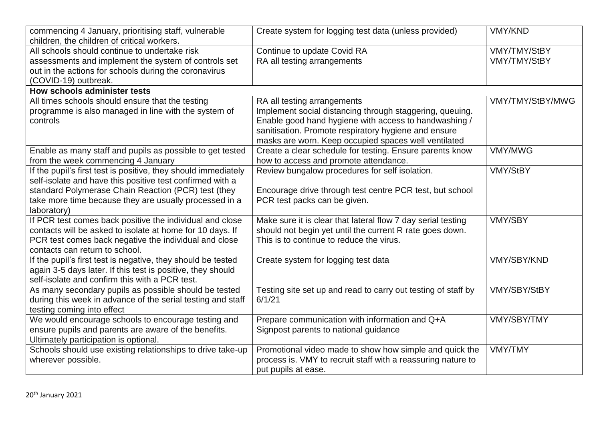| commencing 4 January, prioritising staff, vulnerable<br>children, the children of critical workers. | Create system for logging test data (unless provided)         | <b>VMY/KND</b>      |
|-----------------------------------------------------------------------------------------------------|---------------------------------------------------------------|---------------------|
| All schools should continue to undertake risk                                                       | Continue to update Covid RA                                   | VMY/TMY/StBY        |
| assessments and implement the system of controls set                                                | RA all testing arrangements                                   | <b>VMY/TMY/StBY</b> |
| out in the actions for schools during the coronavirus                                               |                                                               |                     |
| (COVID-19) outbreak.                                                                                |                                                               |                     |
| How schools administer tests                                                                        |                                                               |                     |
| All times schools should ensure that the testing                                                    | RA all testing arrangements                                   | VMY/TMY/StBY/MWG    |
| programme is also managed in line with the system of                                                | Implement social distancing through staggering, queuing.      |                     |
| controls                                                                                            | Enable good hand hygiene with access to handwashing /         |                     |
|                                                                                                     | sanitisation. Promote respiratory hygiene and ensure          |                     |
|                                                                                                     | masks are worn. Keep occupied spaces well ventilated          |                     |
| Enable as many staff and pupils as possible to get tested                                           | Create a clear schedule for testing. Ensure parents know      | <b>VMY/MWG</b>      |
| from the week commencing 4 January                                                                  | how to access and promote attendance.                         |                     |
| If the pupil's first test is positive, they should immediately                                      | Review bungalow procedures for self isolation.                | <b>VMY/StBY</b>     |
| self-isolate and have this positive test confirmed with a                                           |                                                               |                     |
| standard Polymerase Chain Reaction (PCR) test (they                                                 | Encourage drive through test centre PCR test, but school      |                     |
| take more time because they are usually processed in a                                              | PCR test packs can be given.                                  |                     |
| laboratory)                                                                                         |                                                               |                     |
| If PCR test comes back positive the individual and close                                            | Make sure it is clear that lateral flow 7 day serial testing  | <b>VMY/SBY</b>      |
| contacts will be asked to isolate at home for 10 days. If                                           | should not begin yet until the current R rate goes down.      |                     |
| PCR test comes back negative the individual and close                                               | This is to continue to reduce the virus.                      |                     |
| contacts can return to school.                                                                      |                                                               |                     |
| If the pupil's first test is negative, they should be tested                                        | Create system for logging test data                           | <b>VMY/SBY/KND</b>  |
| again 3-5 days later. If this test is positive, they should                                         |                                                               |                     |
| self-isolate and confirm this with a PCR test.                                                      |                                                               |                     |
| As many secondary pupils as possible should be tested                                               | Testing site set up and read to carry out testing of staff by | VMY/SBY/StBY        |
| during this week in advance of the serial testing and staff                                         | 6/1/21                                                        |                     |
| testing coming into effect                                                                          |                                                               |                     |
| We would encourage schools to encourage testing and                                                 | Prepare communication with information and Q+A                | <b>VMY/SBY/TMY</b>  |
| ensure pupils and parents are aware of the benefits.                                                | Signpost parents to national guidance                         |                     |
| Ultimately participation is optional.                                                               |                                                               |                     |
| Schools should use existing relationships to drive take-up                                          | Promotional video made to show how simple and quick the       | <b>VMY/TMY</b>      |
| wherever possible.                                                                                  | process is. VMY to recruit staff with a reassuring nature to  |                     |
|                                                                                                     | put pupils at ease.                                           |                     |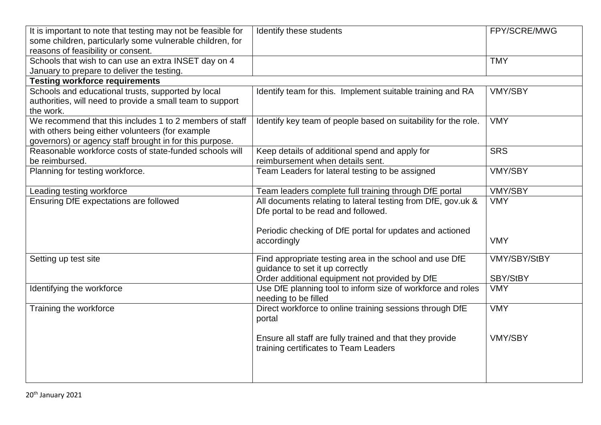| It is important to note that testing may not be feasible for | Identify these students                                        | FPY/SCRE/MWG   |
|--------------------------------------------------------------|----------------------------------------------------------------|----------------|
| some children, particularly some vulnerable children, for    |                                                                |                |
| reasons of feasibility or consent.                           |                                                                |                |
| Schools that wish to can use an extra INSET day on 4         |                                                                | <b>TMY</b>     |
| January to prepare to deliver the testing.                   |                                                                |                |
| <b>Testing workforce requirements</b>                        |                                                                |                |
| Schools and educational trusts, supported by local           | Identify team for this. Implement suitable training and RA     | <b>VMY/SBY</b> |
| authorities, will need to provide a small team to support    |                                                                |                |
| the work.                                                    |                                                                |                |
| We recommend that this includes 1 to 2 members of staff      | Identify key team of people based on suitability for the role. | <b>VMY</b>     |
| with others being either volunteers (for example             |                                                                |                |
| governors) or agency staff brought in for this purpose.      |                                                                |                |
| Reasonable workforce costs of state-funded schools will      | Keep details of additional spend and apply for                 | <b>SRS</b>     |
| be reimbursed.                                               | reimbursement when details sent.                               |                |
| Planning for testing workforce.                              | Team Leaders for lateral testing to be assigned                | <b>VMY/SBY</b> |
| Leading testing workforce                                    | Team leaders complete full training through DfE portal         | <b>VMY/SBY</b> |
| Ensuring DfE expectations are followed                       | All documents relating to lateral testing from DfE, gov.uk &   | <b>VMY</b>     |
|                                                              | Dfe portal to be read and followed.                            |                |
|                                                              |                                                                |                |
|                                                              | Periodic checking of DfE portal for updates and actioned       |                |
|                                                              | accordingly                                                    | <b>VMY</b>     |
|                                                              |                                                                |                |
| Setting up test site                                         | Find appropriate testing area in the school and use DfE        | VMY/SBY/StBY   |
|                                                              | guidance to set it up correctly                                |                |
|                                                              | Order additional equipment not provided by DfE                 | SBY/StBY       |
| Identifying the workforce                                    | Use DfE planning tool to inform size of workforce and roles    | <b>VMY</b>     |
|                                                              | needing to be filled                                           |                |
| Training the workforce                                       | Direct workforce to online training sessions through DfE       | <b>VMY</b>     |
|                                                              | portal                                                         |                |
|                                                              |                                                                |                |
|                                                              | Ensure all staff are fully trained and that they provide       | <b>VMY/SBY</b> |
|                                                              | training certificates to Team Leaders                          |                |
|                                                              |                                                                |                |
|                                                              |                                                                |                |
|                                                              |                                                                |                |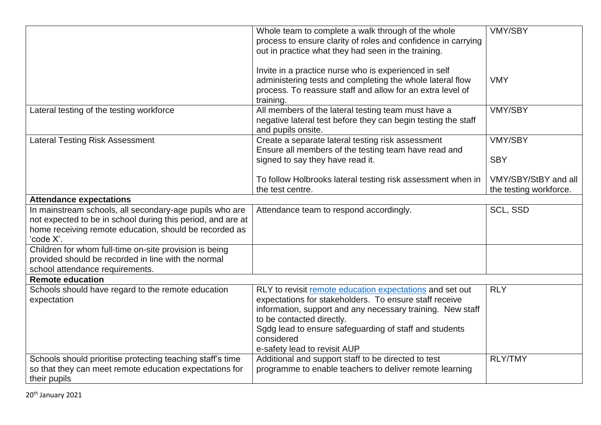|                                                             | Whole team to complete a walk through of the whole                                                                   | <b>VMY/SBY</b>         |
|-------------------------------------------------------------|----------------------------------------------------------------------------------------------------------------------|------------------------|
|                                                             | process to ensure clarity of roles and confidence in carrying                                                        |                        |
|                                                             | out in practice what they had seen in the training.                                                                  |                        |
|                                                             |                                                                                                                      |                        |
|                                                             | Invite in a practice nurse who is experienced in self                                                                |                        |
|                                                             | administering tests and completing the whole lateral flow                                                            | <b>VMY</b>             |
|                                                             | process. To reassure staff and allow for an extra level of                                                           |                        |
|                                                             | training.                                                                                                            | <b>VMY/SBY</b>         |
| Lateral testing of the testing workforce                    | All members of the lateral testing team must have a<br>negative lateral test before they can begin testing the staff |                        |
|                                                             | and pupils onsite.                                                                                                   |                        |
| Lateral Testing Risk Assessment                             | Create a separate lateral testing risk assessment                                                                    | <b>VMY/SBY</b>         |
|                                                             | Ensure all members of the testing team have read and                                                                 |                        |
|                                                             | signed to say they have read it.                                                                                     | <b>SBY</b>             |
|                                                             |                                                                                                                      |                        |
|                                                             | To follow Holbrooks lateral testing risk assessment when in                                                          | VMY/SBY/StBY and all   |
|                                                             | the test centre.                                                                                                     | the testing workforce. |
| <b>Attendance expectations</b>                              |                                                                                                                      |                        |
| In mainstream schools, all secondary-age pupils who are     | Attendance team to respond accordingly.                                                                              | <b>SCL, SSD</b>        |
| not expected to be in school during this period, and are at |                                                                                                                      |                        |
| home receiving remote education, should be recorded as      |                                                                                                                      |                        |
| 'code X'.                                                   |                                                                                                                      |                        |
| Children for whom full-time on-site provision is being      |                                                                                                                      |                        |
| provided should be recorded in line with the normal         |                                                                                                                      |                        |
| school attendance requirements.<br><b>Remote education</b>  |                                                                                                                      |                        |
| Schools should have regard to the remote education          | RLY to revisit remote education expectations and set out                                                             | <b>RLY</b>             |
| expectation                                                 | expectations for stakeholders. To ensure staff receive                                                               |                        |
|                                                             | information, support and any necessary training. New staff                                                           |                        |
|                                                             | to be contacted directly.                                                                                            |                        |
|                                                             | Sgdg lead to ensure safeguarding of staff and students                                                               |                        |
|                                                             | considered                                                                                                           |                        |
|                                                             | e-safety lead to revisit AUP                                                                                         |                        |
| Schools should prioritise protecting teaching staff's time  | Additional and support staff to be directed to test                                                                  | <b>RLY/TMY</b>         |
| so that they can meet remote education expectations for     | programme to enable teachers to deliver remote learning                                                              |                        |
| their pupils                                                |                                                                                                                      |                        |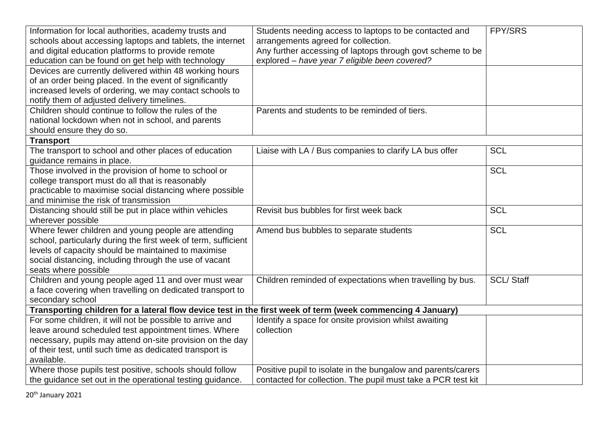| Information for local authorities, academy trusts and                                                      | Students needing access to laptops to be contacted and       | FPY/SRS          |
|------------------------------------------------------------------------------------------------------------|--------------------------------------------------------------|------------------|
| schools about accessing laptops and tablets, the internet                                                  | arrangements agreed for collection.                          |                  |
| and digital education platforms to provide remote                                                          | Any further accessing of laptops through govt scheme to be   |                  |
| education can be found on get help with technology                                                         | explored - have year 7 eligible been covered?                |                  |
| Devices are currently delivered within 48 working hours                                                    |                                                              |                  |
| of an order being placed. In the event of significantly                                                    |                                                              |                  |
| increased levels of ordering, we may contact schools to                                                    |                                                              |                  |
| notify them of adjusted delivery timelines.                                                                |                                                              |                  |
| Children should continue to follow the rules of the                                                        | Parents and students to be reminded of tiers.                |                  |
| national lockdown when not in school, and parents                                                          |                                                              |                  |
| should ensure they do so.                                                                                  |                                                              |                  |
| <b>Transport</b>                                                                                           |                                                              |                  |
| The transport to school and other places of education                                                      | Liaise with LA / Bus companies to clarify LA bus offer       | <b>SCL</b>       |
| guidance remains in place.                                                                                 |                                                              |                  |
| Those involved in the provision of home to school or                                                       |                                                              | <b>SCL</b>       |
| college transport must do all that is reasonably                                                           |                                                              |                  |
| practicable to maximise social distancing where possible                                                   |                                                              |                  |
| and minimise the risk of transmission                                                                      |                                                              |                  |
| Distancing should still be put in place within vehicles                                                    | Revisit bus bubbles for first week back                      | <b>SCL</b>       |
| wherever possible                                                                                          |                                                              |                  |
| Where fewer children and young people are attending                                                        | Amend bus bubbles to separate students                       | <b>SCL</b>       |
| school, particularly during the first week of term, sufficient                                             |                                                              |                  |
| levels of capacity should be maintained to maximise                                                        |                                                              |                  |
| social distancing, including through the use of vacant                                                     |                                                              |                  |
| seats where possible                                                                                       |                                                              |                  |
| Children and young people aged 11 and over must wear                                                       | Children reminded of expectations when travelling by bus.    | <b>SCL/Staff</b> |
| a face covering when travelling on dedicated transport to                                                  |                                                              |                  |
| secondary school                                                                                           |                                                              |                  |
| Transporting children for a lateral flow device test in the first week of term (week commencing 4 January) |                                                              |                  |
| For some children, it will not be possible to arrive and                                                   | Identify a space for onsite provision whilst awaiting        |                  |
| leave around scheduled test appointment times. Where                                                       | collection                                                   |                  |
| necessary, pupils may attend on-site provision on the day                                                  |                                                              |                  |
| of their test, until such time as dedicated transport is                                                   |                                                              |                  |
| available.                                                                                                 |                                                              |                  |
| Where those pupils test positive, schools should follow                                                    | Positive pupil to isolate in the bungalow and parents/carers |                  |
| the guidance set out in the operational testing guidance.                                                  | contacted for collection. The pupil must take a PCR test kit |                  |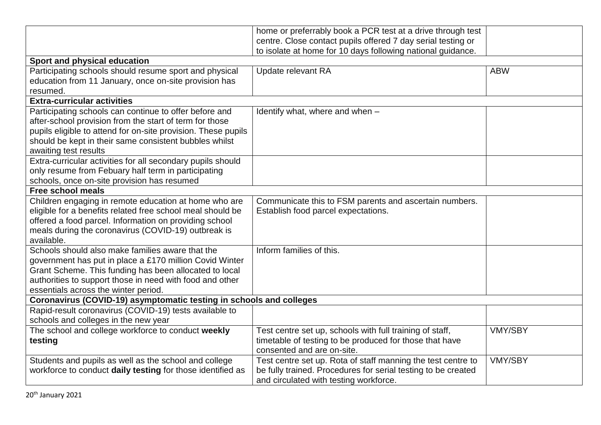|                                                                     | home or preferrably book a PCR test at a drive through test   |                |
|---------------------------------------------------------------------|---------------------------------------------------------------|----------------|
|                                                                     | centre. Close contact pupils offered 7 day serial testing or  |                |
|                                                                     | to isolate at home for 10 days following national guidance.   |                |
| Sport and physical education                                        |                                                               |                |
| Participating schools should resume sport and physical              | Update relevant RA                                            | <b>ABW</b>     |
| education from 11 January, once on-site provision has               |                                                               |                |
| resumed.                                                            |                                                               |                |
| <b>Extra-curricular activities</b>                                  |                                                               |                |
| Participating schools can continue to offer before and              | Identify what, where and when -                               |                |
| after-school provision from the start of term for those             |                                                               |                |
| pupils eligible to attend for on-site provision. These pupils       |                                                               |                |
| should be kept in their same consistent bubbles whilst              |                                                               |                |
| awaiting test results                                               |                                                               |                |
| Extra-curricular activities for all secondary pupils should         |                                                               |                |
| only resume from Febuary half term in participating                 |                                                               |                |
| schools, once on-site provision has resumed                         |                                                               |                |
| <b>Free school meals</b>                                            |                                                               |                |
| Children engaging in remote education at home who are               | Communicate this to FSM parents and ascertain numbers.        |                |
| eligible for a benefits related free school meal should be          | Establish food parcel expectations.                           |                |
| offered a food parcel. Information on providing school              |                                                               |                |
| meals during the coronavirus (COVID-19) outbreak is                 |                                                               |                |
| available.                                                          |                                                               |                |
| Schools should also make families aware that the                    | Inform families of this.                                      |                |
| government has put in place a £170 million Covid Winter             |                                                               |                |
| Grant Scheme. This funding has been allocated to local              |                                                               |                |
| authorities to support those in need with food and other            |                                                               |                |
| essentials across the winter period.                                |                                                               |                |
| Coronavirus (COVID-19) asymptomatic testing in schools and colleges |                                                               |                |
| Rapid-result coronavirus (COVID-19) tests available to              |                                                               |                |
| schools and colleges in the new year                                |                                                               |                |
| The school and college workforce to conduct weekly                  | Test centre set up, schools with full training of staff,      | <b>VMY/SBY</b> |
| testing                                                             | timetable of testing to be produced for those that have       |                |
|                                                                     | consented and are on-site.                                    |                |
| Students and pupils as well as the school and college               | Test centre set up. Rota of staff manning the test centre to  | <b>VMY/SBY</b> |
| workforce to conduct daily testing for those identified as          | be fully trained. Procedures for serial testing to be created |                |
|                                                                     | and circulated with testing workforce.                        |                |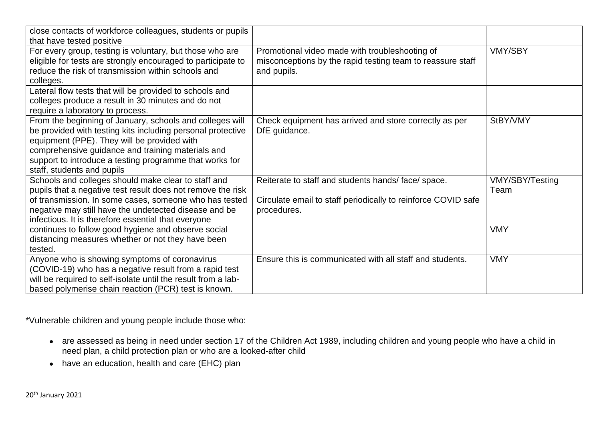| close contacts of workforce colleagues, students or pupils<br>that have tested positive                                                                                                                                                                                                                              |                                                                                                                                   |                                |
|----------------------------------------------------------------------------------------------------------------------------------------------------------------------------------------------------------------------------------------------------------------------------------------------------------------------|-----------------------------------------------------------------------------------------------------------------------------------|--------------------------------|
| For every group, testing is voluntary, but those who are<br>eligible for tests are strongly encouraged to participate to<br>reduce the risk of transmission within schools and<br>colleges.                                                                                                                          | Promotional video made with troubleshooting of<br>misconceptions by the rapid testing team to reassure staff<br>and pupils.       | <b>VMY/SBY</b>                 |
| Lateral flow tests that will be provided to schools and<br>colleges produce a result in 30 minutes and do not<br>require a laboratory to process.                                                                                                                                                                    |                                                                                                                                   |                                |
| From the beginning of January, schools and colleges will<br>be provided with testing kits including personal protective<br>equipment (PPE). They will be provided with<br>comprehensive guidance and training materials and<br>support to introduce a testing programme that works for<br>staff, students and pupils | Check equipment has arrived and store correctly as per<br>DfE guidance.                                                           | StBY/VMY                       |
| Schools and colleges should make clear to staff and<br>pupils that a negative test result does not remove the risk<br>of transmission. In some cases, someone who has tested<br>negative may still have the undetected disease and be                                                                                | Reiterate to staff and students hands/face/space.<br>Circulate email to staff periodically to reinforce COVID safe<br>procedures. | <b>VMY/SBY/Testing</b><br>Team |
| infectious. It is therefore essential that everyone<br>continues to follow good hygiene and observe social<br>distancing measures whether or not they have been<br>tested.                                                                                                                                           |                                                                                                                                   | <b>VMY</b>                     |
| Anyone who is showing symptoms of coronavirus<br>(COVID-19) who has a negative result from a rapid test<br>will be required to self-isolate until the result from a lab-<br>based polymerise chain reaction (PCR) test is known.                                                                                     | Ensure this is communicated with all staff and students.                                                                          | <b>VMY</b>                     |

\*Vulnerable children and young people include those who:

- are assessed as being in need under section 17 of the Children Act 1989, including children and young people who have a child in need plan, a child protection plan or who are a looked-after child
- have an education, health and care (EHC) plan